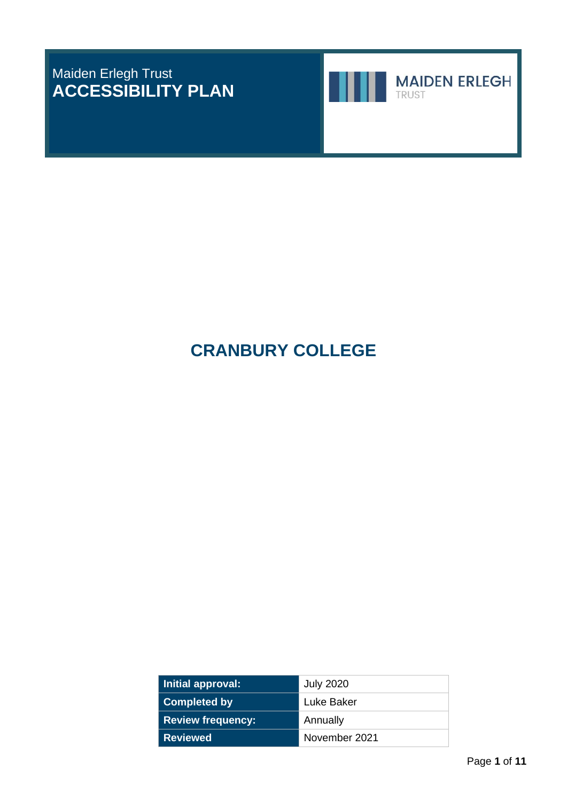# Maiden Erlegh Trust **ACCESSIBILITY PLAN**





**MAIDEN ERLEGH** 

**CRANBURY COLLEGE**

| Initial approval:        | <b>July 2020</b> |
|--------------------------|------------------|
| <b>Completed by</b>      | Luke Baker       |
| <b>Review frequency:</b> | Annually         |
| <b>Reviewed</b>          | November 2021    |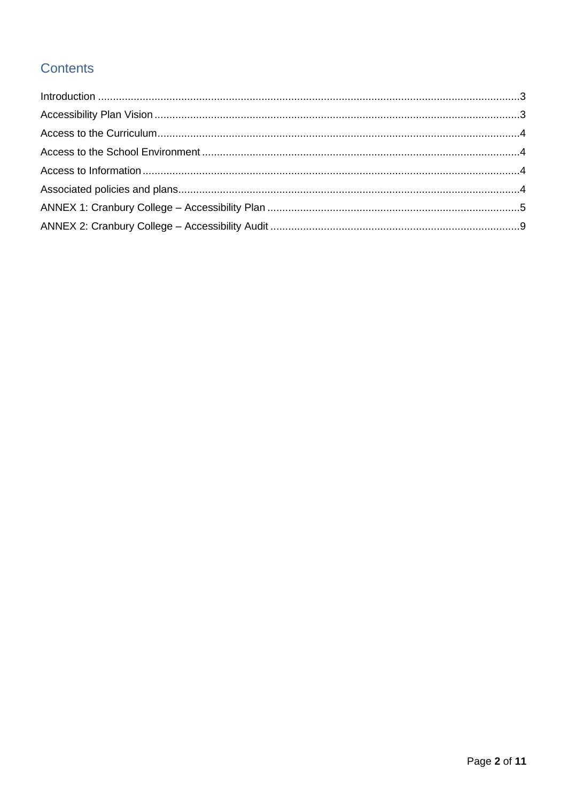# Contents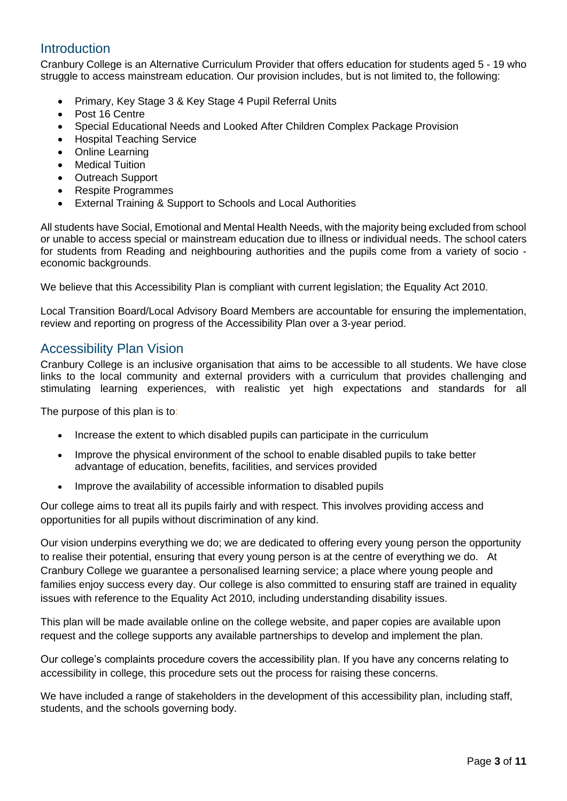# <span id="page-2-0"></span>Introduction

Cranbury College is an Alternative Curriculum Provider that offers education for students aged 5 - 19 who struggle to access mainstream education. Our provision includes, but is not limited to, the following:

- Primary, Key Stage 3 & Key Stage 4 Pupil Referral Units
- Post 16 Centre
- Special Educational Needs and Looked After Children Complex Package Provision
- Hospital Teaching Service
- Online Learning
- **Medical Tuition**
- Outreach Support
- Respite Programmes
- External Training & Support to Schools and Local Authorities

All students have Social, Emotional and Mental Health Needs, with the majority being excluded from school or unable to access special or mainstream education due to illness or individual needs. The school caters for students from Reading and neighbouring authorities and the pupils come from a variety of socio economic backgrounds.

We believe that this Accessibility Plan is compliant with current legislation; the Equality Act 2010.

Local Transition Board/Local Advisory Board Members are accountable for ensuring the implementation, review and reporting on progress of the Accessibility Plan over a 3-year period.

### <span id="page-2-1"></span>Accessibility Plan Vision

Cranbury College is an inclusive organisation that aims to be accessible to all students. We have close links to the local community and external providers with a curriculum that provides challenging and stimulating learning experiences, with realistic yet high expectations and standards for all

The purpose of this plan is to:

- Increase the extent to which disabled pupils can participate in the curriculum
- Improve the physical environment of the school to enable disabled pupils to take better advantage of education, benefits, facilities, and services provided
- Improve the availability of accessible information to disabled pupils

Our college aims to treat all its pupils fairly and with respect. This involves providing access and opportunities for all pupils without discrimination of any kind.

Our vision underpins everything we do; we are dedicated to offering every young person the opportunity to realise their potential, ensuring that every young person is at the centre of everything we do. At Cranbury College we guarantee a personalised learning service; a place where young people and families enjoy success every day. Our college is also committed to ensuring staff are trained in equality issues with reference to the Equality Act 2010, including understanding disability issues.

This plan will be made available online on the college website, and paper copies are available upon request and the college supports any available partnerships to develop and implement the plan.

Our college's complaints procedure covers the accessibility plan. If you have any concerns relating to accessibility in college, this procedure sets out the process for raising these concerns.

We have included a range of stakeholders in the development of this accessibility plan, including staff, students, and the schools governing body.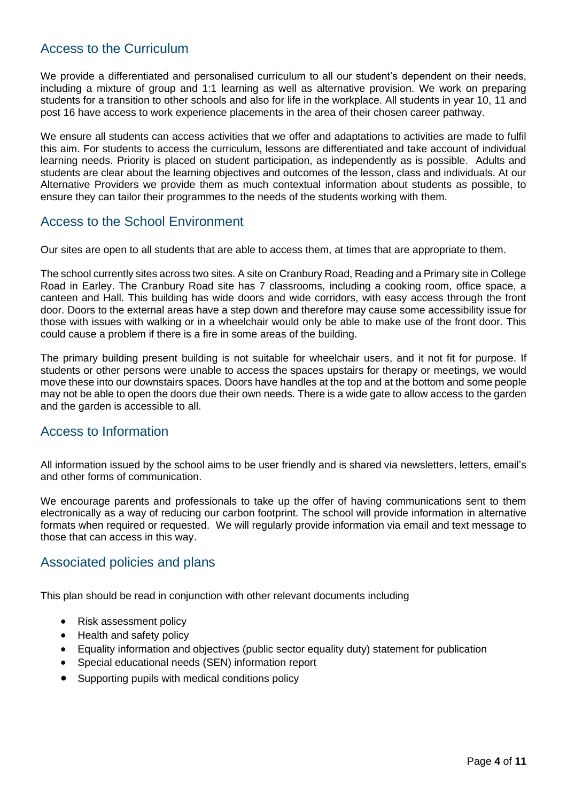## <span id="page-3-0"></span>Access to the Curriculum

We provide a differentiated and personalised curriculum to all our student's dependent on their needs, including a mixture of group and 1:1 learning as well as alternative provision. We work on preparing students for a transition to other schools and also for life in the workplace. All students in year 10, 11 and post 16 have access to work experience placements in the area of their chosen career pathway.

We ensure all students can access activities that we offer and adaptations to activities are made to fulfil this aim. For students to access the curriculum, lessons are differentiated and take account of individual learning needs. Priority is placed on student participation, as independently as is possible. Adults and students are clear about the learning objectives and outcomes of the lesson, class and individuals. At our Alternative Providers we provide them as much contextual information about students as possible, to ensure they can tailor their programmes to the needs of the students working with them.

### <span id="page-3-1"></span>Access to the School Environment

Our sites are open to all students that are able to access them, at times that are appropriate to them.

The school currently sites across two sites. A site on Cranbury Road, Reading and a Primary site in College Road in Earley. The Cranbury Road site has 7 classrooms, including a cooking room, office space, a canteen and Hall. This building has wide doors and wide corridors, with easy access through the front door. Doors to the external areas have a step down and therefore may cause some accessibility issue for those with issues with walking or in a wheelchair would only be able to make use of the front door. This could cause a problem if there is a fire in some areas of the building.

The primary building present building is not suitable for wheelchair users, and it not fit for purpose. If students or other persons were unable to access the spaces upstairs for therapy or meetings, we would move these into our downstairs spaces. Doors have handles at the top and at the bottom and some people may not be able to open the doors due their own needs. There is a wide gate to allow access to the garden and the garden is accessible to all.

#### <span id="page-3-2"></span>Access to Information

All information issued by the school aims to be user friendly and is shared via newsletters, letters, email's and other forms of communication.

We encourage parents and professionals to take up the offer of having communications sent to them electronically as a way of reducing our carbon footprint. The school will provide information in alternative formats when required or requested. We will regularly provide information via email and text message to those that can access in this way.

## <span id="page-3-3"></span>Associated policies and plans

This plan should be read in conjunction with other relevant documents including

- Risk assessment policy
- Health and safety policy
- Equality information and objectives (public sector equality duty) statement for publication
- Special educational needs (SEN) information report
- Supporting pupils with medical conditions policy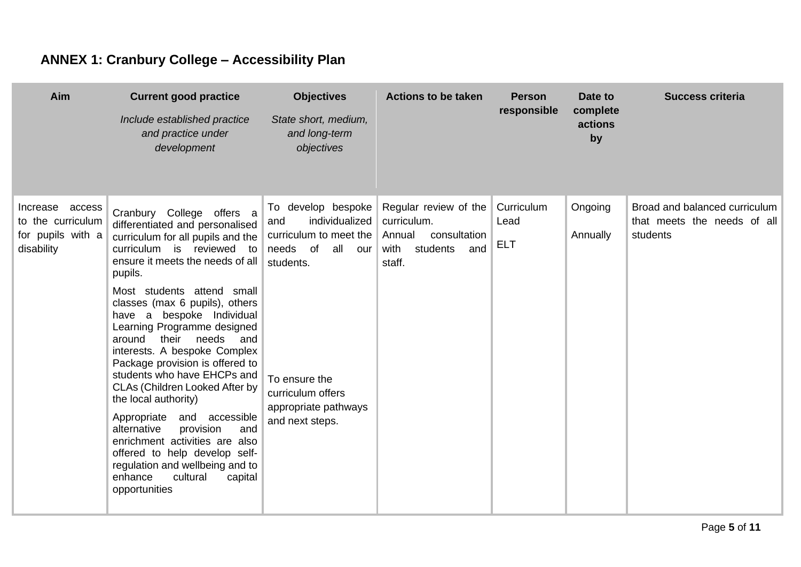# **ANNEX 1: Cranbury College – Accessibility Plan**

<span id="page-4-0"></span>

| Aim                                                                     | <b>Current good practice</b>                                                                                                                                                                                                                                                                                                                                                                                                                                                                                                                                                                                                                                                                                                          | <b>Objectives</b><br><b>Actions to be taken</b>                                                                                                                                               |                                                                                                     | <b>Person</b>                    | Date to                   | <b>Success criteria</b>                                                  |  |
|-------------------------------------------------------------------------|---------------------------------------------------------------------------------------------------------------------------------------------------------------------------------------------------------------------------------------------------------------------------------------------------------------------------------------------------------------------------------------------------------------------------------------------------------------------------------------------------------------------------------------------------------------------------------------------------------------------------------------------------------------------------------------------------------------------------------------|-----------------------------------------------------------------------------------------------------------------------------------------------------------------------------------------------|-----------------------------------------------------------------------------------------------------|----------------------------------|---------------------------|--------------------------------------------------------------------------|--|
|                                                                         | Include established practice<br>and practice under<br>development                                                                                                                                                                                                                                                                                                                                                                                                                                                                                                                                                                                                                                                                     | State short, medium,<br>and long-term<br>objectives                                                                                                                                           |                                                                                                     | responsible                      | complete<br>actions<br>by |                                                                          |  |
| Increase access<br>to the curriculum<br>for pupils with a<br>disability | Cranbury College offers a<br>differentiated and personalised<br>curriculum for all pupils and the<br>curriculum is reviewed to<br>ensure it meets the needs of all<br>pupils.<br>Most students attend small<br>classes (max 6 pupils), others<br>have a bespoke Individual<br>Learning Programme designed<br>their<br>needs<br>around<br>and<br>interests. A bespoke Complex<br>Package provision is offered to<br>students who have EHCPs and<br>CLAs (Children Looked After by<br>the local authority)<br>Appropriate and<br>accessible<br>alternative<br>provision<br>and<br>enrichment activities are also<br>offered to help develop self-<br>regulation and wellbeing and to<br>cultural<br>enhance<br>capital<br>opportunities | To develop bespoke<br>individualized<br>and<br>curriculum to meet the<br>needs of<br>all<br>our<br>students.<br>To ensure the<br>curriculum offers<br>appropriate pathways<br>and next steps. | Regular review of the<br>curriculum.<br>Annual<br>consultation<br>with<br>students<br>and<br>staff. | Curriculum<br>Lead<br><b>ELT</b> | Ongoing<br>Annually       | Broad and balanced curriculum<br>that meets the needs of all<br>students |  |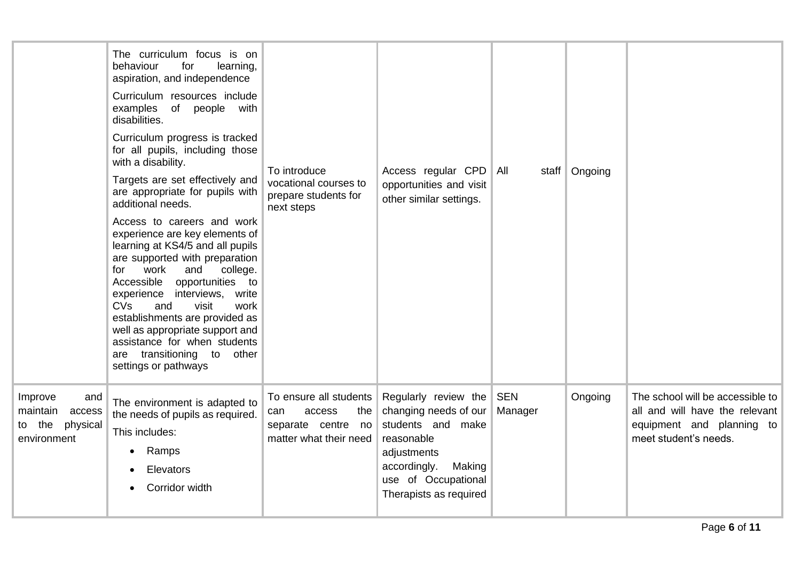|                                                                           | The curriculum focus is on<br>behaviour<br>learning,<br>for<br>aspiration, and independence<br>Curriculum resources include<br>examples of people with<br>disabilities.<br>Curriculum progress is tracked<br>for all pupils, including those<br>with a disability.<br>Targets are set effectively and<br>are appropriate for pupils with<br>additional needs.<br>Access to careers and work<br>experience are key elements of<br>learning at KS4/5 and all pupils<br>are supported with preparation<br>work<br>college.<br>for<br>and<br>opportunities to<br>Accessible<br>experience interviews, write<br><b>CVs</b><br>and<br>visit<br>work<br>establishments are provided as<br>well as appropriate support and<br>assistance for when students<br>are transitioning to<br>other<br>settings or pathways | To introduce<br>vocational courses to<br>prepare students for<br>next steps                    | Access regular CPD<br>opportunities and visit<br>other similar settings.                                                                                                   | All                   | staff   Ongoing |                                                                                                                          |
|---------------------------------------------------------------------------|-------------------------------------------------------------------------------------------------------------------------------------------------------------------------------------------------------------------------------------------------------------------------------------------------------------------------------------------------------------------------------------------------------------------------------------------------------------------------------------------------------------------------------------------------------------------------------------------------------------------------------------------------------------------------------------------------------------------------------------------------------------------------------------------------------------|------------------------------------------------------------------------------------------------|----------------------------------------------------------------------------------------------------------------------------------------------------------------------------|-----------------------|-----------------|--------------------------------------------------------------------------------------------------------------------------|
| Improve<br>and<br>maintain<br>access<br>physical<br>to the<br>environment | The environment is adapted to<br>the needs of pupils as required.<br>This includes:<br>Ramps<br>$\bullet$<br>Elevators<br>Corridor width                                                                                                                                                                                                                                                                                                                                                                                                                                                                                                                                                                                                                                                                    | To ensure all students<br>can<br>access<br>the<br>separate centre no<br>matter what their need | Regularly review the<br>changing needs of our<br>students and make<br>reasonable<br>adjustments<br>accordingly.<br>Making<br>use of Occupational<br>Therapists as required | <b>SEN</b><br>Manager | Ongoing         | The school will be accessible to<br>all and will have the relevant<br>equipment and planning to<br>meet student's needs. |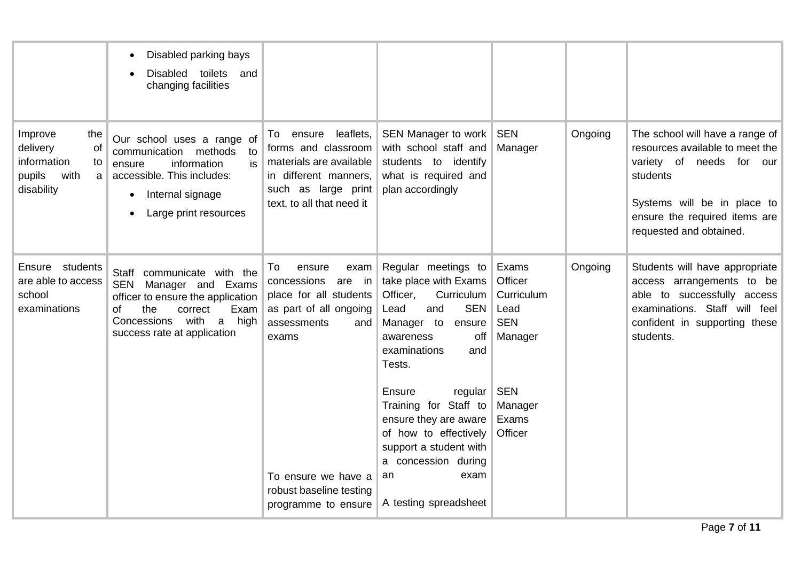|                                                                                            | Disabled parking bays<br>$\bullet$<br>Disabled<br>toilets and<br>changing facilities                                                                                                                   |                                                                                                                                                          |                                                                                                                                                                                             |                                                                 |         |                                                                                                                                                                                                          |
|--------------------------------------------------------------------------------------------|--------------------------------------------------------------------------------------------------------------------------------------------------------------------------------------------------------|----------------------------------------------------------------------------------------------------------------------------------------------------------|---------------------------------------------------------------------------------------------------------------------------------------------------------------------------------------------|-----------------------------------------------------------------|---------|----------------------------------------------------------------------------------------------------------------------------------------------------------------------------------------------------------|
| Improve<br>the<br>delivery<br>Οf<br>information<br>to<br>pupils<br>with<br>a<br>disability | Our school uses a range of<br>communication methods<br>to<br>is<br>information<br>ensure<br>accessible. This includes:<br>Internal signage<br>Large print resources                                    | leaflets,<br>ensure<br>To<br>forms and classroom<br>materials are available<br>in different manners,<br>such as large print<br>text, to all that need it | SEN Manager to work<br>with school staff and<br>students to identify<br>what is required and<br>plan accordingly                                                                            | <b>SEN</b><br>Manager                                           | Ongoing | The school will have a range of<br>resources available to meet the<br>variety of needs for<br>our<br>students<br>Systems will be in place to<br>ensure the required items are<br>requested and obtained. |
| Ensure students<br>are able to access<br>school<br>examinations                            | Staff communicate with the<br>SEN Manager and Exams<br>officer to ensure the application<br>the<br>Exam<br>0f<br>correct<br>Concessions<br>with<br>high<br>$\mathsf{a}$<br>success rate at application | To<br>ensure<br>exam<br>concessions<br>are in<br>place for all students<br>as part of all ongoing<br>assessments<br>and<br>exams                         | Regular meetings to<br>take place with Exams<br>Officer,<br>Curriculum<br><b>SEN</b><br>Lead<br>and<br>Manager to<br>ensure<br>off<br>awareness<br>examinations<br>and<br>Tests.            | Exams<br>Officer<br>Curriculum<br>Lead<br><b>SEN</b><br>Manager | Ongoing | Students will have appropriate<br>access arrangements to be<br>able to successfully access<br>examinations. Staff will feel<br>confident in supporting these<br>students.                                |
|                                                                                            |                                                                                                                                                                                                        | To ensure we have a<br>robust baseline testing<br>programme to ensure                                                                                    | <b>Ensure</b><br>regular<br>Training for Staff to<br>ensure they are aware<br>of how to effectively<br>support a student with<br>a concession during<br>exam<br>an<br>A testing spreadsheet | SEN<br>Manager<br>Exams<br>Officer                              |         |                                                                                                                                                                                                          |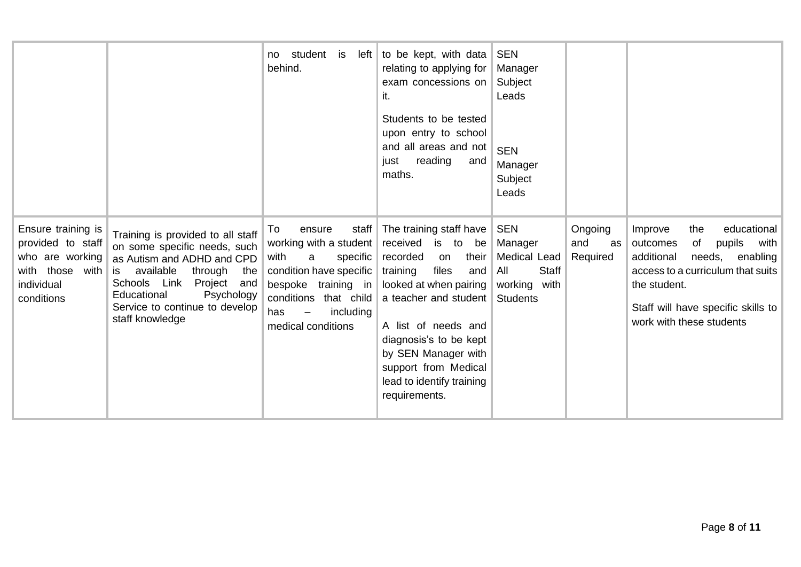|                                                                                                           |                                                                                                                                                                                                                                                           | student is<br>left <br>no<br>behind.                                                                                                                                                                                      | to be kept, with data<br>relating to applying for<br>exam concessions on<br>it.<br>Students to be tested<br>upon entry to school<br>and all areas and not<br>just<br>reading<br>and<br>maths.                                                                                                              | <b>SEN</b><br>Manager<br>Subject<br>Leads<br><b>SEN</b><br>Manager<br>Subject<br>Leads          |                                  |                                                                                                                                                                                                                              |
|-----------------------------------------------------------------------------------------------------------|-----------------------------------------------------------------------------------------------------------------------------------------------------------------------------------------------------------------------------------------------------------|---------------------------------------------------------------------------------------------------------------------------------------------------------------------------------------------------------------------------|------------------------------------------------------------------------------------------------------------------------------------------------------------------------------------------------------------------------------------------------------------------------------------------------------------|-------------------------------------------------------------------------------------------------|----------------------------------|------------------------------------------------------------------------------------------------------------------------------------------------------------------------------------------------------------------------------|
| Ensure training is<br>provided to staff<br>who are working<br>with those with<br>individual<br>conditions | Training is provided to all staff<br>on some specific needs, such<br>as Autism and ADHD and CPD<br>available<br>through<br>the<br>is.<br>Link<br>Project and<br>Schools<br>Educational<br>Psychology<br>Service to continue to develop<br>staff knowledge | staff<br>To<br>ensure<br>working with a student<br>with<br>specific<br>a<br>condition have specific<br>bespoke training in<br>conditions that child<br>has<br>including<br>$\overline{\phantom{m}}$<br>medical conditions | The training staff have<br>received<br>is to<br>be<br>their<br>recorded<br>on<br>training<br>files<br>and<br>looked at when pairing<br>a teacher and student<br>A list of needs and<br>diagnosis's to be kept<br>by SEN Manager with<br>support from Medical<br>lead to identify training<br>requirements. | <b>SEN</b><br>Manager<br>Medical Lead<br><b>Staff</b><br>All<br>working with<br><b>Students</b> | Ongoing<br>and<br>as<br>Required | educational<br>Improve<br>the<br>pupils<br>with<br>outcomes<br>of<br>additional<br>enabling<br>needs,<br>access to a curriculum that suits<br>the student.<br>Staff will have specific skills to<br>work with these students |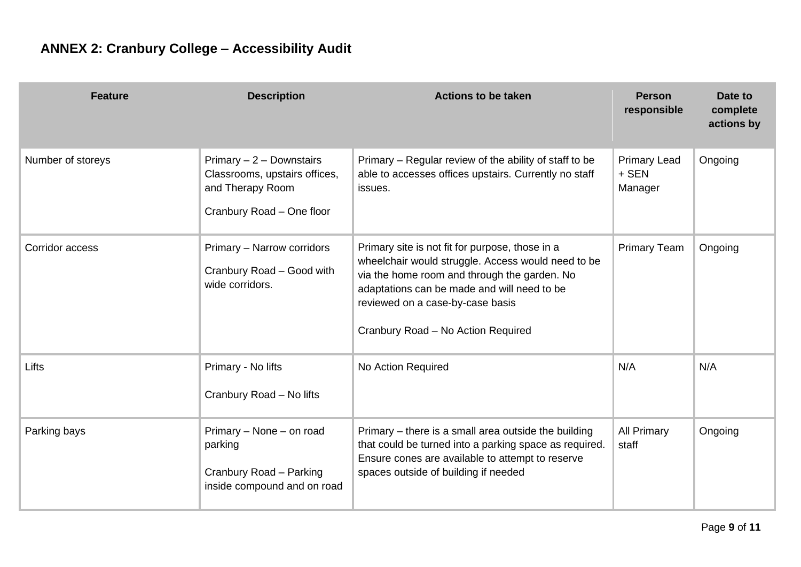<span id="page-8-0"></span>

| <b>Feature</b>    | <b>Description</b>                                                                                          | <b>Actions to be taken</b>                                                                                                                                                                                                                                                     | <b>Person</b><br>responsible            | Date to<br>complete<br>actions by |
|-------------------|-------------------------------------------------------------------------------------------------------------|--------------------------------------------------------------------------------------------------------------------------------------------------------------------------------------------------------------------------------------------------------------------------------|-----------------------------------------|-----------------------------------|
| Number of storeys | Primary $-2$ - Downstairs<br>Classrooms, upstairs offices,<br>and Therapy Room<br>Cranbury Road - One floor | Primary - Regular review of the ability of staff to be<br>able to accesses offices upstairs. Currently no staff<br>issues.                                                                                                                                                     | <b>Primary Lead</b><br>+ SEN<br>Manager | Ongoing                           |
| Corridor access   | Primary - Narrow corridors<br>Cranbury Road - Good with<br>wide corridors.                                  | Primary site is not fit for purpose, those in a<br>wheelchair would struggle. Access would need to be<br>via the home room and through the garden. No<br>adaptations can be made and will need to be<br>reviewed on a case-by-case basis<br>Cranbury Road - No Action Required | <b>Primary Team</b>                     | Ongoing                           |
| Lifts             | Primary - No lifts<br>Cranbury Road - No lifts                                                              | No Action Required                                                                                                                                                                                                                                                             | N/A                                     | N/A                               |
| Parking bays      | Primary - None - on road<br>parking<br>Cranbury Road - Parking<br>inside compound and on road               | Primary – there is a small area outside the building<br>that could be turned into a parking space as required.<br>Ensure cones are available to attempt to reserve<br>spaces outside of building if needed                                                                     | <b>All Primary</b><br>staff             | Ongoing                           |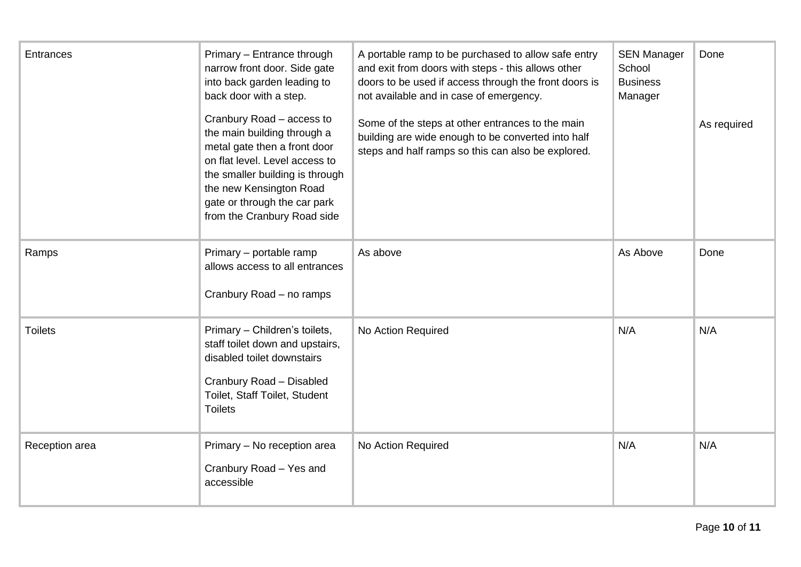| <b>Entrances</b> | Primary - Entrance through<br>narrow front door. Side gate<br>into back garden leading to<br>back door with a step.                                                                                                                                     | A portable ramp to be purchased to allow safe entry<br>and exit from doors with steps - this allows other<br>doors to be used if access through the front doors is<br>not available and in case of emergency. | <b>SEN Manager</b><br>School<br><b>Business</b><br>Manager | Done        |
|------------------|---------------------------------------------------------------------------------------------------------------------------------------------------------------------------------------------------------------------------------------------------------|---------------------------------------------------------------------------------------------------------------------------------------------------------------------------------------------------------------|------------------------------------------------------------|-------------|
|                  | Cranbury Road - access to<br>the main building through a<br>metal gate then a front door<br>on flat level. Level access to<br>the smaller building is through<br>the new Kensington Road<br>gate or through the car park<br>from the Cranbury Road side | Some of the steps at other entrances to the main<br>building are wide enough to be converted into half<br>steps and half ramps so this can also be explored.                                                  |                                                            | As required |
| Ramps            | Primary - portable ramp<br>allows access to all entrances<br>Cranbury Road - no ramps                                                                                                                                                                   | As above                                                                                                                                                                                                      | As Above                                                   | Done        |
| <b>Toilets</b>   | Primary - Children's toilets,<br>staff toilet down and upstairs,<br>disabled toilet downstairs<br>Cranbury Road - Disabled<br>Toilet, Staff Toilet, Student<br><b>Toilets</b>                                                                           | No Action Required                                                                                                                                                                                            | N/A                                                        | N/A         |
| Reception area   | Primary - No reception area<br>Cranbury Road - Yes and<br>accessible                                                                                                                                                                                    | No Action Required                                                                                                                                                                                            | N/A                                                        | N/A         |